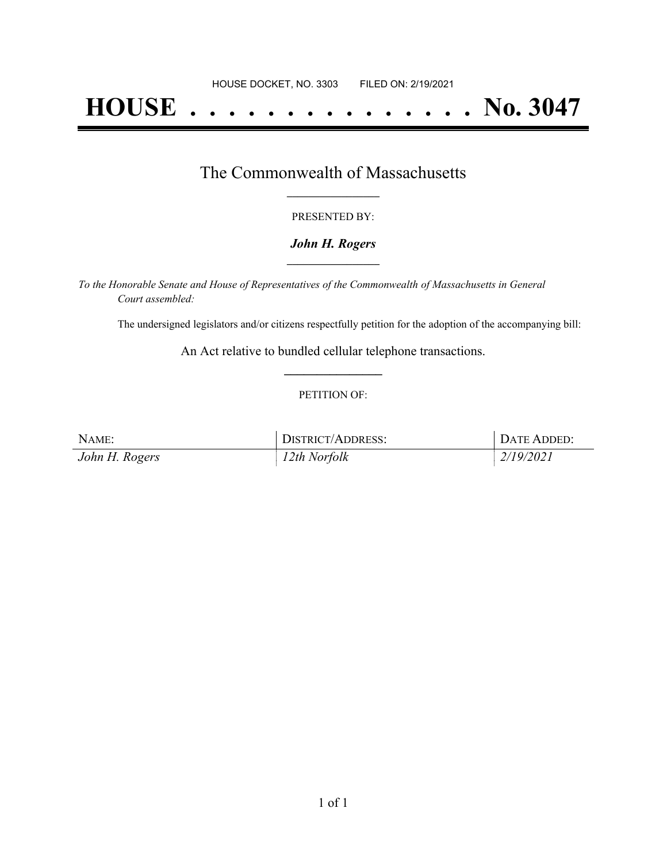# **HOUSE . . . . . . . . . . . . . . . No. 3047**

### The Commonwealth of Massachusetts **\_\_\_\_\_\_\_\_\_\_\_\_\_\_\_\_\_**

#### PRESENTED BY:

#### *John H. Rogers* **\_\_\_\_\_\_\_\_\_\_\_\_\_\_\_\_\_**

*To the Honorable Senate and House of Representatives of the Commonwealth of Massachusetts in General Court assembled:*

The undersigned legislators and/or citizens respectfully petition for the adoption of the accompanying bill:

An Act relative to bundled cellular telephone transactions. **\_\_\_\_\_\_\_\_\_\_\_\_\_\_\_**

#### PETITION OF:

| NAME:          | <b>DISTRICT/ADDRESS:</b> | DATE ADDED: |
|----------------|--------------------------|-------------|
| John H. Rogers | $12$ th Norfolk          | 2/19/2021   |